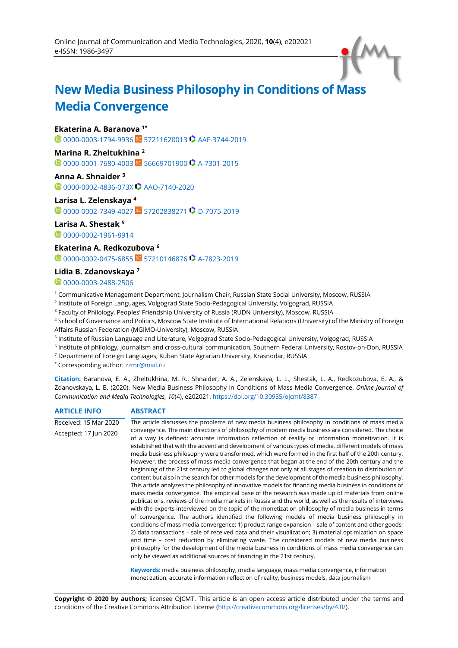

# **New Media Business Philosophy in Conditions of Mass Media Convergence**

#### **Ekaterina A. Baranova 1\***

**1**[0000-0003-1794-9936](https://orcid.org/0000-0003-1794-9936) SC [57211620013](https://www.scopus.com/authid/detail.uri?authorId=57211620013) **C** [AAF-3744-2019](http://www.researcherid.com/rid/AAF-3744-2019)

# **Marina R. Zheltukhina <sup>2</sup>**

**1**[0000-0001-7680-4003](https://orcid.org/0000-0001-7680-4003) SC [56669701900](https://www.scopus.com/authid/detail.uri?authorId=56669701900) **C** [A-7301-2015](http://www.researcherid.com/rid/A-7301-2015)

**Anna A. Shnaider <sup>3</sup> 0[0000-0002-4836-073X](https://orcid.org/0000-0002-4836-073X) C [AAO-7140-2020](http://www.researcherid.com/rid/AAO-7140-2020)** 

#### **Larisa L. Zelenskaya <sup>4</sup>**

**1**[0000-0002-7349-4027](https://orcid.org/0000-0002-7349-4027) sc [57202838271](https://www.scopus.com/authid/detail.uri?authorId=57202838271) **C** [D-7075-2019](http://www.researcherid.com/rid/D-7075-2019)

#### **Larisa A. Shestak <sup>5</sup>**

0[0000-0002-1961-8914](https://orcid.org/0000-0002-1961-8914)

#### **Ekaterina A. Redkozubova <sup>6</sup>**

 $\bullet$  [0000-0002-0475-6855](https://orcid.org/0000-0002-0475-6855) SC [57210146876](https://www.scopus.com/authid/detail.uri?authorId=57210146876)  $\bullet$  [A-7823-2019](http://www.researcherid.com/rid/A-7823-2019)

#### **Lidia B. Zdanovskaya <sup>7</sup>**

<sup>0</sup>[0000-0003-2488-2506](https://orcid.org/0000-0003-2488-2506)

<sup>1</sup> Communicative Management Department, Journalism Chair, Russian State Social University, Moscow, RUSSIA

2 Institute of Foreign Languages, Volgograd State Socio-Pedagogical University, Volgograd, RUSSIA

<sup>3</sup> Faculty of Philology, Peoples' Friendship University of Russia (RUDN University), Moscow, RUSSIA

<sup>4</sup> School of Governance and Politics, Moscow State Institute of International Relations (University) of the Ministry of Foreign Affairs Russian Federation (MGIMO-University), Moscow, RUSSIA

<sup>5</sup> Institute of Russian Language and Literature, Volgograd State Socio-Pedagogical University, Volgograd, RUSSIA

- 6 Institute of philology, journalism and cross-cultural communication, Southern Federal University, Rostov-on-Don, RUSSIA
- <sup>7</sup> Department of Foreign Languages, Kuban State Agrarian University, Krasnodar, RUSSIA

\* Corresponding author: [zzmr@mail.ru](mailto:zzmr@mail.ru)

**Citation:** Baranova, E. A., Zheltukhina, M. R., Shnaider, A. A., Zelenskaya, L. L., Shestak, L. A., Redkozubova, E. A., & Zdanovskaya, L. B. (2020). New Media Business Philosophy in Conditions of Mass Media Convergence. *Online Journal of Communication and Media Technologies, 10*(4), e202021. <https://doi.org/10.30935/ojcmt/8387>

#### **ARTICLE INFO ABSTRACT** Received: 15 Mar 2020 Accepted: 17 Jun 2020 The article discusses the problems of new media business philosophy in conditions of mass media convergence. The main directions of philosophy of modern media business are considered. The choice of a way is defined: accurate information reflection of reality or information monetization. It is established that with the advent and development of various types of media, different models of mass media business philosophy were transformed, which were formed in the first half of the 20th century. However, the process of mass media convergence that began at the end of the 20th century and the beginning of the 21st century led to global changes not only at all stages of creation to distribution of content but also in the search for other models for the development of the media business philosophy. This article analyzes the philosophy of innovative models for financing media business in conditions of mass media convergence. The empirical base of the research was made up of materials from online publications, reviews of the media markets in Russia and the world, as well as the results of interviews with the experts interviewed on the topic of the monetization philosophy of media business in terms of convergence. The authors identified the following models of media business philosophy in conditions of mass media convergence: 1) product range expansion – sale of content and other goods; 2) data transactions – sale of received data and their visualization; 3) material optimization on space and time – cost reduction by eliminating waste. The considered models of new media business philosophy for the development of the media business in conditions of mass media convergence can only be viewed as additional sources of financing in the 21st century. **Keywords:** media business philosophy, media language, mass media convergence, information

monetization, accurate information reflection of reality, business models, data journalism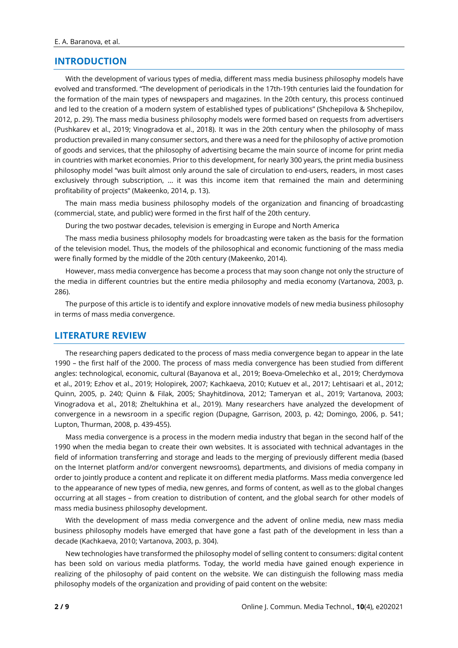#### **INTRODUCTION**

With the development of various types of media, different mass media business philosophy models have evolved and transformed. "The development of periodicals in the 17th-19th centuries laid the foundation for the formation of the main types of newspapers and magazines. In the 20th century, this process continued and led to the creation of a modern system of established types of publications" (Shchepilova & Shchepilov, 2012, p. 29). The mass media business philosophy models were formed based on requests from advertisers (Pushkarev et al., 2019; Vinogradova et al., 2018). It was in the 20th century when the philosophy of mass production prevailed in many consumer sectors, and there was a need for the philosophy of active promotion of goods and services, that the philosophy of advertising became the main source of income for print media in countries with market economies. Prior to this development, for nearly 300 years, the print media business philosophy model "was built almost only around the sale of circulation to end-users, readers, in most cases exclusively through subscription, ... it was this income item that remained the main and determining profitability of projects" (Makeenko, 2014, p. 13).

The main mass media business philosophy models of the organization and financing of broadcasting (commercial, state, and public) were formed in the first half of the 20th century.

During the two postwar decades, television is emerging in Europe and North America

The mass media business philosophy models for broadcasting were taken as the basis for the formation of the television model. Thus, the models of the philosophical and economic functioning of the mass media were finally formed by the middle of the 20th century (Makeenko, 2014).

However, mass media convergence has become a process that may soon change not only the structure of the media in different countries but the entire media philosophy and media economy (Vartanova, 2003, p. 286).

The purpose of this article is to identify and explore innovative models of new media business philosophy in terms of mass media convergence.

#### **LITERATURE REVIEW**

The researching papers dedicated to the process of mass media convergence began to appear in the late 1990 – the first half of the 2000. The process of mass media convergence has been studied from different angles: technological, economic, cultural (Bayanova et al., 2019; Boeva-Omelechko et al., 2019; Cherdymova et al., 2019; Ezhov et al., 2019; Holopirek, 2007; Kachkaeva, 2010; Kutuev et al., 2017; Lehtisaari et al., 2012; Quinn, 2005, p. 240; Quinn & Filak, 2005; Shayhitdinova, 2012; Tameryan et al., 2019; Vartanova, 2003; Vinogradova et al., 2018; Zheltukhina et al., 2019). Many researchers have analyzed the development of convergence in a newsroom in a specific region (Dupagne, Garrison, 2003, p. 42; Domingo, 2006, p. 541; Lupton, Thurman, 2008, p. 439-455).

Mass media convergence is a process in the modern media industry that began in the second half of the 1990 when the media began to create their own websites. It is associated with technical advantages in the field of information transferring and storage and leads to the merging of previously different media (based on the Internet platform and/or convergent newsrooms), departments, and divisions of media company in order to jointly produce a content and replicate it on different media platforms. Mass media convergence led to the appearance of new types of media, new genres, and forms of content, as well as to the global changes occurring at all stages – from creation to distribution of content, and the global search for other models of mass media business philosophy development.

With the development of mass media convergence and the advent of online media, new mass media business philosophy models have emerged that have gone a fast path of the development in less than a decade (Kachkaeva, 2010; Vartanova, 2003, p. 304).

New technologies have transformed the philosophy model of selling content to consumers: digital content has been sold on various media platforms. Today, the world media have gained enough experience in realizing of the philosophy of paid content on the website. We can distinguish the following mass media philosophy models of the organization and providing of paid content on the website: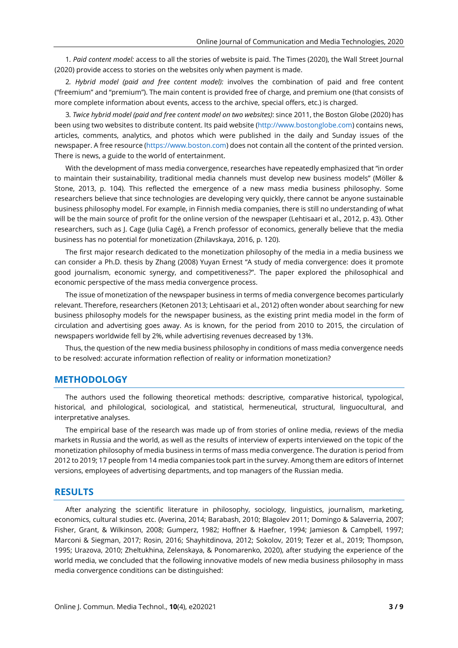1*. Paid content model:* access to all the stories of website is paid. The Times (2020), the Wall Street Journal (2020) provide access to stories on the websites only when payment is made.

2*. Hybrid model (paid and free content model):* involves the combination of paid and free content ("freemium" and "premium"). The main content is provided free of charge, and premium one (that consists of more complete information about events, access to the archive, special offers, etc.) is charged.

3*. Twice hybrid model (paid and free content model on two websites)*: since 2011, the Boston Globe (2020) has been using two websites to distribute content. Its paid website [\(http://www.bostonglobe.com\)](http://www.bostonglobe.com/) contains news, articles, comments, analytics, and photos which were published in the daily and Sunday issues of the newspaper. A free resource [\(https://www.boston.com\)](https://www.boston.com/) does not contain all the content of the printed version. There is news, a guide to the world of entertainment.

With the development of mass media convergence, researches have repeatedly emphasized that "in order to maintain their sustainability, traditional media channels must develop new business models" (Möller & Stone, 2013, p. 104). This reflected the emergence of a new mass media business philosophy. Some researchers believe that since technologies are developing very quickly, there cannot be anyone sustainable business philosophy model. For example, in Finnish media companies, there is still no understanding of what will be the main source of profit for the online version of the newspaper (Lehtisaari et al., 2012, p. 43). Other researchers, such as J. Cage (Julia Cagé), a French professor of economics, generally believe that the media business has no potential for monetization (Zhilavskaya, 2016, p. 120).

The first major research dedicated to the monetization philosophy of the media in a media business we can consider a Ph.D. thesis by Zhang (2008) Yuyan Ernest "A study of media convergence: does it promote good journalism, economic synergy, and competitiveness?". The paper explored the philosophical and economic perspective of the mass media convergence process.

The issue of monetization of the newspaper business in terms of media convergence becomes particularly relevant. Therefore, researchers (Ketonen 2013; Lehtisaari et al., 2012) often wonder about searching for new business philosophy models for the newspaper business, as the existing print media model in the form of circulation and advertising goes away. As is known, for the period from 2010 to 2015, the circulation of newspapers worldwide fell by 2%, while advertising revenues decreased by 13%.

Thus, the question of the new media business philosophy in conditions of mass media convergence needs to be resolved: accurate information reflection of reality or information monetization?

#### **METHODOLOGY**

The authors used the following theoretical methods: descriptive, comparative historical, typological, historical, and philological, sociological, and statistical, hermeneutical, structural, linguocultural, and interpretative analyses.

The empirical base of the research was made up of from stories of online media, reviews of the media markets in Russia and the world, as well as the results of interview of experts interviewed on the topic of the monetization philosophy of media business in terms of mass media convergence. The duration is period from 2012 to 2019; 17 people from 14 media companies took part in the survey. Among them are editors of Internet versions, employees of advertising departments, and top managers of the Russian media.

# **RESULTS**

After analyzing the scientific literature in philosophy, sociology, linguistics, journalism, marketing, economics, cultural studies etc. (Averina, 2014; Barabash, 2010; Blagolev 2011; Domingo & Salaverria, 2007; Fisher, Grant, & Wilkinson, 2008; Gumperz, 1982; Hoffner & Haefner, 1994; Jamieson & Campbell, 1997; Marconi & Siegman, 2017; Rosin, 2016; Shayhitdinova, 2012; Sokolov, 2019; Tezer et al., 2019; Thompson, 1995; Urazova, 2010; Zheltukhina, Zelenskaya, & Ponomarenko, 2020), after studying the experience of the world media, we concluded that the following innovative models of new media business philosophy in mass media convergence conditions can be distinguished: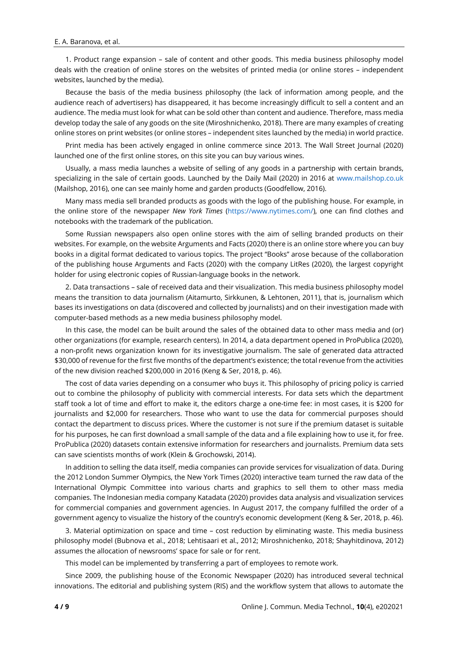#### E. A. Baranova, et al.

1. Product range expansion – sale of content and other goods. This media business philosophy model deals with the creation of online stores on the websites of printed media (or online stores – independent websites, launched by the media).

Because the basis of the media business philosophy (the lack of information among people, and the audience reach of advertisers) has disappeared, it has become increasingly difficult to sell a content and an audience. The media must look for what can be sold other than content and audience. Therefore, mass media develop today the sale of any goods on the site (Miroshnichenko, 2018). There are many examples of creating online stores on print websites (or online stores – independent sites launched by the media) in world practice.

Print media has been actively engaged in online commerce since 2013. The Wall Street Journal (2020) launched one of the first online stores, on this site you can buy various wines.

Usually, a mass media launches a website of selling of any goods in a partnership with certain brands, specializing in the sale of certain goods. Launched by the Daily Mail (2020) in 2016 at [www.mailshop.co.uk](http://www.mailshop.co.uk/) (Mailshop, 2016), one can see mainly home and garden products (Goodfellow, 2016).

Many mass media sell branded products as goods with the logo of the publishing house. For example, in the online store of the newspaper *New York Times* [\(https://www.nytimes.com/\)](https://www.nytimes.com/), one can find clothes and notebooks with the trademark of the publication.

Some Russian newspapers also open online stores with the aim of selling branded products on their websites. For example, on the website Arguments and Facts (2020) there is an online store where you can buy books in a digital format dedicated to various topics. The project "Books" arose because of the collaboration of the publishing house Arguments and Facts (2020) with the company LitRes (2020), the largest copyright holder for using electronic copies of Russian-language books in the network.

2. Data transactions – sale of received data and their visualization. This media business philosophy model means the transition to data journalism (Aitamurto, Sirkkunen, & Lehtonen, 2011), that is, journalism which bases its investigations on data (discovered and collected by journalists) and on their investigation made with computer-based methods as a new media business philosophy model.

In this case, the model can be built around the sales of the obtained data to other mass media and (or) other organizations (for example, research centers). In 2014, a data department opened in ProPublica (2020), a non-profit news organization known for its investigative journalism. The sale of generated data attracted \$30,000 of revenue for the first five months of the department's existence; the total revenue from the activities of the new division reached \$200,000 in 2016 (Keng & Ser, 2018, p. 46).

The cost of data varies depending on a consumer who buys it. This philosophy of pricing policy is carried out to combine the philosophy of publicity with commercial interests. For data sets which the department staff took a lot of time and effort to make it, the editors charge a one-time fee: in most cases, it is \$200 for journalists and \$2,000 for researchers. Those who want to use the data for commercial purposes should contact the department to discuss prices. Where the customer is not sure if the premium dataset is suitable for his purposes, he can first download a small sample of the data and a file explaining how to use it, for free. ProPublica (2020) datasets contain extensive information for researchers and journalists. Premium data sets can save scientists months of work (Klein & Grochowski, 2014).

In addition to selling the data itself, media companies can provide services for visualization of data. During the 2012 London Summer Olympics, the New York Times (2020) interactive team turned the raw data of the International Olympic Committee into various charts and graphics to sell them to other mass media companies. The Indonesian media company Katadata (2020) provides data analysis and visualization services for commercial companies and government agencies. In August 2017, the company fulfilled the order of a government agency to visualize the history of the country's economic development (Keng & Ser, 2018, p. 46).

3. Material optimization on space and time – cost reduction by eliminating waste. This media business philosophy model (Bubnova et al., 2018; Lehtisaari et al., 2012; Miroshnichenko, 2018; Shayhitdinova, 2012) assumes the allocation of newsrooms' space for sale or for rent.

This model can be implemented by transferring a part of employees to remote work.

Since 2009, the publishing house of the Economic Newspaper (2020) has introduced several technical innovations. The editorial and publishing system (RIS) and the workflow system that allows to automate the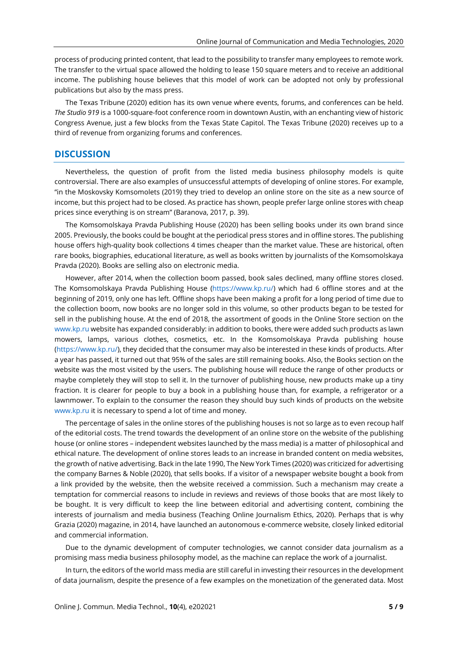process of producing printed content, that lead to the possibility to transfer many employees to remote work. The transfer to the virtual space allowed the holding to lease 150 square meters and to receive an additional income. The publishing house believes that this model of work can be adopted not only by professional publications but also by the mass press.

The Texas Tribune (2020) edition has its own venue where events, forums, and conferences can be held. *The Studio 919* is a 1000-square-foot conference room in downtown Austin, with an enchanting view of historic Congress Avenue, just a few blocks from the Texas State Capitol. The Texas Tribune (2020) receives up to a third of revenue from organizing forums and conferences.

#### **DISCUSSION**

Nevertheless, the question of profit from the listed media business philosophy models is quite controversial. There are also examples of unsuccessful attempts of developing of online stores. For example, "in the Moskovsky Komsomolets (2019) they tried to develop an online store on the site as a new source of income, but this project had to be closed. As practice has shown, people prefer large online stores with cheap prices since everything is on stream" (Baranova, 2017, p. 39).

The Komsomolskaya Pravda Publishing House (2020) has been selling books under its own brand since 2005. Previously, the books could be bought at the periodical press stores and in offline stores. The publishing house offers high-quality book collections 4 times cheaper than the market value. These are historical, often rare books, biographies, educational literature, as well as books written by journalists of the Komsomolskaya Pravda (2020). Books are selling also on electronic media.

However, after 2014, when the collection boom passed, book sales declined, many offline stores closed. The Komsomolskaya Pravda Publishing House [\(https://www.kp.ru/\)](https://www.kp.ru/) which had 6 offline stores and at the beginning of 2019, only one has left. Offline shops have been making a profit for a long period of time due to the collection boom, now books are no longer sold in this volume, so other products began to be tested for sell in the publishing house. At the end of 2018, the assortment of goods in the Online Store section on the [www.kp.ru](http://www.kp.ru/) website has expanded considerably: in addition to books, there were added such products as lawn mowers, lamps, various clothes, cosmetics, etc. In the Komsomolskaya Pravda publishing house [\(https://www.kp.ru/\)](https://www.kp.ru/), they decided that the consumer may also be interested in these kinds of products. After a year has passed, it turned out that 95% of the sales are still remaining books. Also, the Books section on the website was the most visited by the users. The publishing house will reduce the range of other products or maybe completely they will stop to sell it. In the turnover of publishing house, new products make up a tiny fraction. It is clearer for people to buy a book in a publishing house than, for example, a refrigerator or a lawnmower. To explain to the consumer the reason they should buy such kinds of products on the website [www.kp.ru](http://www.kp.ru/) it is necessary to spend a lot of time and money.

The percentage of sales in the online stores of the publishing houses is not so large as to even recoup half of the editorial costs. The trend towards the development of an online store on the website of the publishing house (or online stores – independent websites launched by the mass media) is a matter of philosophical and ethical nature. The development of online stores leads to an increase in branded content on media websites, the growth of native advertising. Back in the late 1990, The New York Times (2020) was criticized for advertising the company Barnes & Noble (2020), that sells books. If a visitor of a newspaper website bought a book from a link provided by the website, then the website received a commission. Such a mechanism may create a temptation for commercial reasons to include in reviews and reviews of those books that are most likely to be bought. It is very difficult to keep the line between editorial and advertising content, combining the interests of journalism and media business (Teaching Online Journalism Ethics, 2020). Perhaps that is why Grazia (2020) magazine, in 2014, have launched an autonomous e-commerce website, closely linked editorial and commercial information.

Due to the dynamic development of computer technologies, we cannot consider data journalism as a promising mass media business philosophy model, as the machine can replace the work of a journalist.

In turn, the editors of the world mass media are still careful in investing their resources in the development of data journalism, despite the presence of a few examples on the monetization of the generated data. Most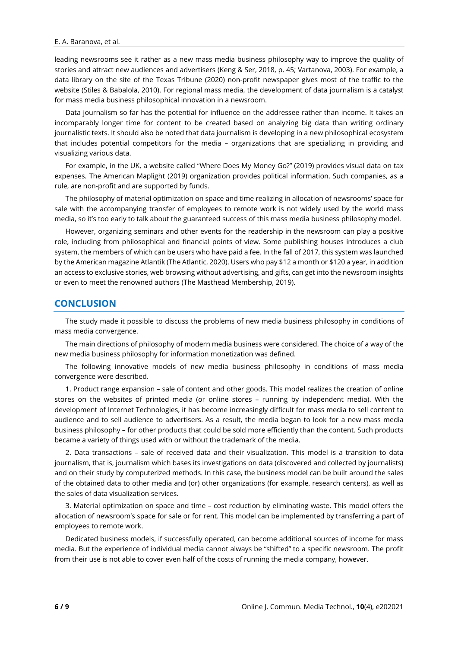leading newsrooms see it rather as a new mass media business philosophy way to improve the quality of stories and attract new audiences and advertisers (Keng & Ser, 2018, p. 45; Vartanova, 2003). For example, a data library on the site of the Texas Tribune (2020) non-profit newspaper gives most of the traffic to the website (Stiles & Babalola, 2010). For regional mass media, the development of data journalism is a catalyst for mass media business philosophical innovation in a newsroom.

Data journalism so far has the potential for influence on the addressee rather than income. It takes an incomparably longer time for content to be created based on analyzing big data than writing ordinary journalistic texts. It should also be noted that data journalism is developing in a new philosophical ecosystem that includes potential competitors for the media – organizations that are specializing in providing and visualizing various data.

For example, in the UK, a website called "Where Does My Money Go?" (2019) provides visual data on tax expenses. The American Maplight (2019) organization provides political information. Such companies, as a rule, are non-profit and are supported by funds.

The philosophy of material optimization on space and time realizing in allocation of newsrooms' space for sale with the accompanying transfer of employees to remote work is not widely used by the world mass media, so it's too early to talk about the guaranteed success of this mass media business philosophy model.

However, organizing seminars and other events for the readership in the newsroom can play a positive role, including from philosophical and financial points of view. Some publishing houses introduces a club system, the members of which can be users who have paid a fee. In the fall of 2017, this system was launched by the American magazine Atlantik (The Atlantic, 2020). Users who pay \$12 a month or \$120 a year, in addition an access to exclusive stories, web browsing without advertising, and gifts, can get into the newsroom insights or even to meet the renowned authors (The Masthead Membership, 2019).

## **CONCLUSION**

The study made it possible to discuss the problems of new media business philosophy in conditions of mass media convergence.

The main directions of philosophy of modern media business were considered. The choice of a way of the new media business philosophy for information monetization was defined.

The following innovative models of new media business philosophy in conditions of mass media convergence were described.

1. Product range expansion – sale of content and other goods. This model realizes the creation of online stores on the websites of printed media (or online stores – running by independent media). With the development of Internet Technologies, it has become increasingly difficult for mass media to sell content to audience and to sell audience to advertisers. As a result, the media began to look for a new mass media business philosophy – for other products that could be sold more efficiently than the content. Such products became a variety of things used with or without the trademark of the media.

2. Data transactions – sale of received data and their visualization. This model is a transition to data journalism, that is, journalism which bases its investigations on data (discovered and collected by journalists) and on their study by computerized methods. In this case, the business model can be built around the sales of the obtained data to other media and (or) other organizations (for example, research centers), as well as the sales of data visualization services.

3. Material optimization on space and time – cost reduction by eliminating waste. This model offers the allocation of newsroom's space for sale or for rent. This model can be implemented by transferring a part of employees to remote work.

Dedicated business models, if successfully operated, can become additional sources of income for mass media. But the experience of individual media cannot always be "shifted" to a specific newsroom. The profit from their use is not able to cover even half of the costs of running the media company, however.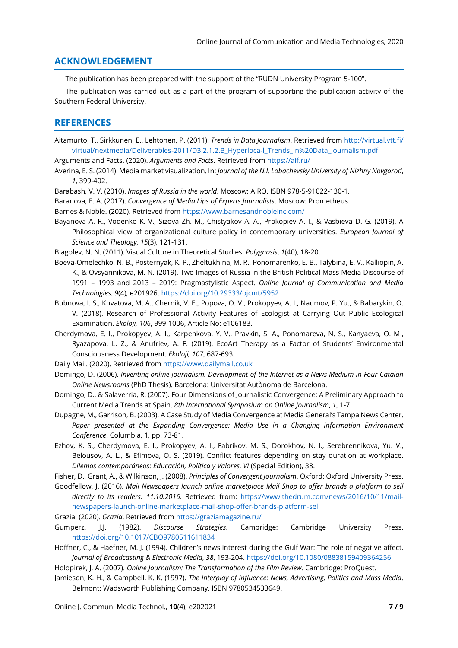## **ACKNOWLEDGEMENT**

The publication has been prepared with the support of the "RUDN University Program 5-100".

The publication was carried out as a part of the program of supporting the publication activity of the Southern Federal University.

### **REFERENCES**

- Aitamurto, T., Sirkkunen, E., Lehtonen, P. (2011). *Trends in Data Journalism*. Retrieved from [http://virtual.vtt.fi/](http://virtual.vtt.fi/virtual/nextmedia/Deliverables-2011/D3.2.1.2.B_Hyperloca-l_Trends_In%20Data_Journalism.pdf) [virtual/nextmedia/Deliverables-2011/D3.2.1.2.B\\_Hyperloca-l\\_Trends\\_In%20Data\\_Journalism.pdf](http://virtual.vtt.fi/virtual/nextmedia/Deliverables-2011/D3.2.1.2.B_Hyperloca-l_Trends_In%20Data_Journalism.pdf)
- Arguments and Facts. (2020). *Arguments and Facts*. Retrieved from <https://aif.ru/>
- Averina, E. S. (2014). Media market visualization. In: *Journal of the N.I. Lobachevsky University of Nizhny Novgorod*, *1*, 399-402.
- Barabash, V. V. (2010). *Images of Russia in the world*. Moscow: AIRO. ISBN 978-5-91022-130-1.
- Baranova, Е. А. (2017). *Convergence of Media Lips of Experts Journalists*. Moscow: Prometheus.
- Barnes & Noble. (2020). Retrieved from <https://www.barnesandnobleinc.com/>
- Bayanova A. R., Vodenko K. V., Sizova Zh. M., Chistyakov A. A., Prokopiev A. I., & Vasbieva D. G. (2019). A Philosophical view of organizational culture policy in contemporary universities. *European Journal of Science and Theology, 15*(3), 121-131.

Blagolev, N. N. (2011). Visual Culture in Theoretical Studies. *Polygnosis*, *1*(40), 18-20.

- Boeva-Omelechko, N. B., Posternyak, K. P., Zheltukhina, M. R., Ponomarenko, E. B., Talybina, E. V., Kalliopin, A. K., & Ovsyannikova, M. N. (2019). Two Images of Russia in the British Political Mass Media Discourse of 1991 – 1993 and 2013 – 2019: Pragmastylistic Aspect. *Online Journal of Communication and Media Technologies, 9*(4), e201926. <https://doi.org/10.29333/ojcmt/5952>
- Bubnova, I. S., Khvatova, M. A., Chernik, V. E., Popova, O. V., Prokopyev, A. I., Naumov, P. Yu., & Babarykin, O. V. (2018). Research of Professional Activity Features of Ecologist at Carrying Out Public Ecological Examination. *Ekoloji, 106*, 999-1006, Article No: e106183.
- Cherdymova, E. I., Prokopyev, A. I., Karpenkova, Y. V., Pravkin, S. A., Ponomareva, N. S., Kanyaeva, O. M., Ryazapova, L. Z., & Anufriev, A. F. (2019). EcoArt Therapy as a Factor of Students' Environmental Consciousness Development. *Ekoloji, 107*, 687-693.
- Daily Mail. (2020). Retrieved from [https://www.dailymail.co.uk](https://www.dailymail.co.uk/)
- Domingo, D. (2006). *Inventing online journalism. Development of the Internet as a News Medium in Four Catalan Online Newsrooms* (PhD Thesis). Barcelona: Universitat Autònoma de Barcelona.
- Domingo, D., & Salaverria, R. (2007). Four Dimensions of Journalistic Convergence: A Preliminary Approach to Current Media Trends at Spain. *8th International Symposium on Online Journalism*, *1*, 1-7.
- Dupagne, M., Garrison, B. (2003). A Case Study of Media Convergence at Media General's Tampa News Center. *Paper presented at the Expanding Convergence: Media Use in a Changing Information Environment Conference*. Columbia, 1, pp. 73-81.
- Ezhov, K. S., Cherdymova, E. I., Prokopyev, A. I., Fabrikov, M. S., Dorokhov, N. I., Serebrennikova, Yu. V., Belousov, A. L., & Efimova, O. S. (2019). Conflict features depending on stay duration at workplace. *Dilemas contemporáneos: Educación, Política y Valores, VI* (Special Edition), 38.

Fisher, D., Grant, A., & Wilkinson, J. (2008). *Principles of Convergent Journalism*. Oxford: Oxford University Press.

- Goodfellow, J. (2016). *Mail Newspapers launch online marketplace Mail Shop to offer brands a platform to sell directly to its readers. 11.10.2016*. Retrieved from: [https://www.thedrum.com/news/2016/10/11/mail](https://www.thedrum.com/news/2016/10/11/mail-newspapers-launch-online-marketplace-mail-shop-offer-brands-platform-sell)[newspapers-launch-online-marketplace-mail-shop-offer-brands-platform-sell](https://www.thedrum.com/news/2016/10/11/mail-newspapers-launch-online-marketplace-mail-shop-offer-brands-platform-sell)
- Grazia. (2020). *Grazia*. Retrieved from <https://graziamagazine.ru/>
- Gumperz, J.J. (1982). *Discourse Strategies*. Cambridge: Cambridge University Press. <https://doi.org/10.1017/CBO9780511611834>
- Hoffner, C., & Haefner, M. J. (1994). Children's news interest during the Gulf War: The role of negative affect. *Journal of Broadcasting & Electronic Media*, *38*, 193-204. <https://doi.org/10.1080/08838159409364256>
- Holopirek, J. A. (2007). *Online Journalism: The Transformation of the Film Review.* Cambridge: ProQuest.
- Jamieson, K. H., & Campbell, K. K. (1997). *The Interplay of Influence: News, Advertising, Politics and Mass Media*. Belmont: Wadsworth Publishing Company. ISBN 9780534533649.

Online J. Commun. Media Technol., **10**(4), e202021 **7 / 9**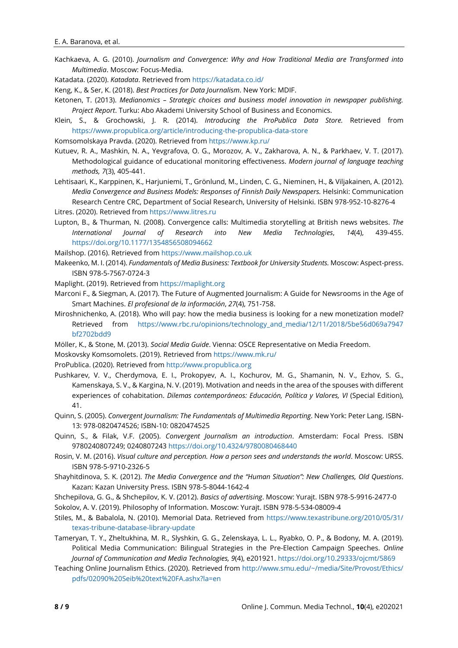Kachkaeva, A. G. (2010). *Journalism and Convergence: Why and How Traditional Media are Transformed into Multimedia*. Moscow: Focus-Media.

Katadata. (2020). *Katadata*. Retrieved from <https://katadata.co.id/>

Keng, K., & Ser, K. (2018). *Best Practices for Data Journalism*. New York: MDIF.

- Ketonen, T. (2013). *Medianomics – Strategic choices and business model innovation in newspaper publishing. Project Report*. Turku: Abo Akademi University School of Business and Economics.
- Klein, S., & Grochowski, J. R. (2014). *Introducing the ProPublica Data Store.* Retrieved from <https://www.propublica.org/article/introducing-the-propublica-data-store>

Komsomolskaya Pravda. (2020). Retrieved from <https://www.kp.ru/>

- Kutuev, R. A., Mashkin, N. A., Yevgrafova, O. G., Morozov, A. V., Zakharova, A. N., & Parkhaev, V. T. (2017). Methodological guidance of educational monitoring effectiveness. *Modern journal of language teaching methods, 7*(3), 405-441.
- Lehtisaari, K., Karppinen, K., Harjuniemi, T., Grönlund, M., Linden, C. G., Nieminen, H., & Viljakainen, A. (2012). *Media Convergence and Business Models: Responses of Finnish Daily Newspapers.* Helsinki: Communication Research Centre CRC, Department of Social Research, University of Helsinki. ISBN 978-952-10-8276-4 Litres. (2020). Retrieved from [https://www.litres.ru](https://www.litres.ru/)
- Lupton, B., & Thurman, N. (2008). Convergence calls: Multimedia storytelling at British news websites. *The International Journal of Research into New Media Technologies*, *14*(4), 439-455. <https://doi.org/10.1177/1354856508094662>

Mailshop. (2016). Retrieved from [https://www.mailshop.co.uk](https://www.mailshop.co.uk/)

Makeenko, M. I. (2014). *Fundamentals of Media Business: Textbook for University Students.* Moscow: Aspect-press. ISBN 978-5-7567-0724-3

Maplight. (2019). Retrieved from [https://maplight.org](https://maplight.org/)

- Marconi F., & Siegman, A. (2017). The Future of Augmented Journalism: A Guide for Newsrooms in the Age of Smart Machines. *El profesional de la información*, *27*(4), 751-758.
- Miroshnichenko, A. (2018). Who will pay: how the media business is looking for a new monetization model? Retrieved from [https://www.rbc.ru/opinions/technology\\_and\\_media/12/11/2018/5be56d069a7947](https://www.rbc.ru/opinions/technology_and_media/12/11/2018/5be56d069a7947bf2702bdd9) [bf2702bdd9](https://www.rbc.ru/opinions/technology_and_media/12/11/2018/5be56d069a7947bf2702bdd9)
- Möller, K., & Stone, M. (2013). *Social Media Guide*. Vienna: OSCE Representative on Media Freedom.
- Moskovsky Komsomolets. (2019). Retrieved from <https://www.mk.ru/>
- ProPublica. (2020). Retrieved from http*://*[www.propublica.org](http://www.propublica.org/)
- Pushkarev, V. V., Cherdymova, E. I., Prokopyev, A. I., Kochurov, M. G., Shamanin, N. V., Ezhov, S. G., Kamenskaya, S. V., & Kargina, N. V. (2019). Motivation and needs in the area of the spouses with different experiences of cohabitation. *Dilemas contemporáneos: Educación, Política y Valores, VI* (Special Edition), 41.
- Quinn, S. (2005). *Convergent Journalism: The Fundamentals of Multimedia Reporting*. New York: Peter Lang. ISBN-13: 978-0820474526; ISBN-10: 0820474525
- Quinn, S., & Filak, V.F. (2005). *Convergent Journalism an introduction*. Amsterdam: Focal Press. ISBN 9780240807249; 0240807243 <https://doi.org/10.4324/9780080468440>
- Rosin, V. M. (2016). *Visual culture and perception. How a person sees and understands the world*. Moscow: URSS. ISBN 978-5-9710-2326-5
- Shayhitdinova, S. K. (2012). *The Media Convergence and the "Human Situation": New Challenges, Old Questions*. Kazan: Kazan University Press. ISBN 978-5-8044-1642-4
- Shchepilova, G. G., & Shchepilov, K. V. (2012). *Basics of advertising*. Moscow: Yurajt. ISBN 978-5-9916-2477-0 Sokolov, A. V. (2019). Philosophy of Information. Moscow: Yurajt. ISBN 978-5-534-08009-4
- Stiles, M., & Babalola, N. (2010). Memorial Data. Retrieved from [https://www.texastribune.org/2010/05/31/](https://www.texastribune.org/2010/05/31/texas-tribune-database-library-update) [texas-tribune-database-library-update](https://www.texastribune.org/2010/05/31/texas-tribune-database-library-update)
- Tameryan, T. Y., Zheltukhina, M. R., Slyshkin, G. G., Zelenskaya, L. L., Ryabko, O. P., & Bodony, M. A. (2019). Political Media Communication: Bilingual Strategies in the Pre-Election Campaign Speeches. *Online Journal of Communication and Media Technologies, 9*(4), e201921. <https://doi.org/10.29333/ojcmt/5869>
- Teaching Online Journalism Ethics. (2020). Retrieved from [http://www.smu.edu/~/media/Site/Provost/Ethics/](http://www.smu.edu/~/media/Site/Provost/Ethics/pdfs/02090%20Seib%20text%20FA.ashx?la=en) [pdfs/02090%20Seib%20text%20FA.ashx?la=en](http://www.smu.edu/~/media/Site/Provost/Ethics/pdfs/02090%20Seib%20text%20FA.ashx?la=en)